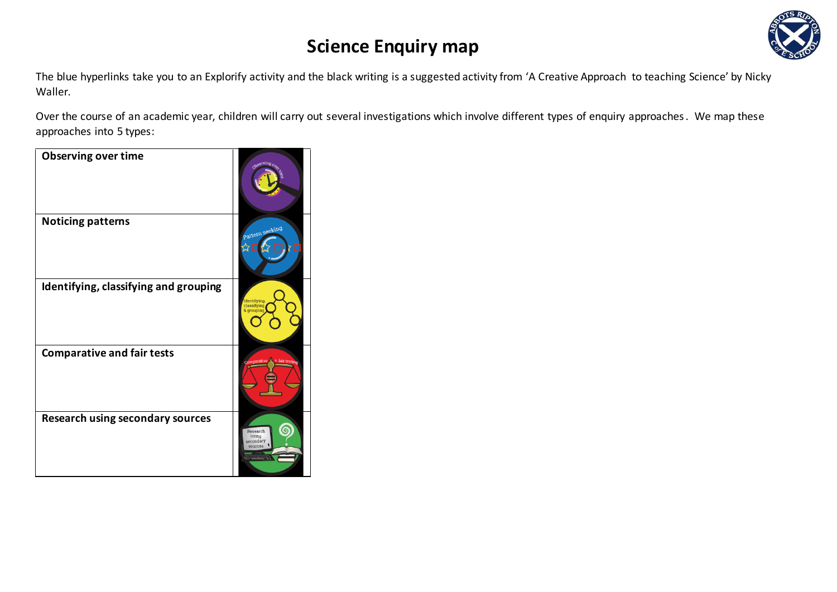

The blue hyperlinks take you to an Explorify activity and the black writing is a suggested activity from 'A Creative Approach to teaching Science' by Nicky Waller.

Over the course of an academic year, children will carry out several investigations which involve different types of enquiry approaches. We map these approaches into 5 types:

| <b>Observing over time</b>              | Observing                                 |
|-----------------------------------------|-------------------------------------------|
| <b>Noticing patterns</b>                | Pattern seeking                           |
| Identifying, classifying and grouping   | Identifying,<br>classifying<br>& grouping |
| <b>Comparative and fair tests</b>       | a fair testing<br>Comparative             |
| <b>Research using secondary sources</b> | Research<br>using<br>secondary<br>sources |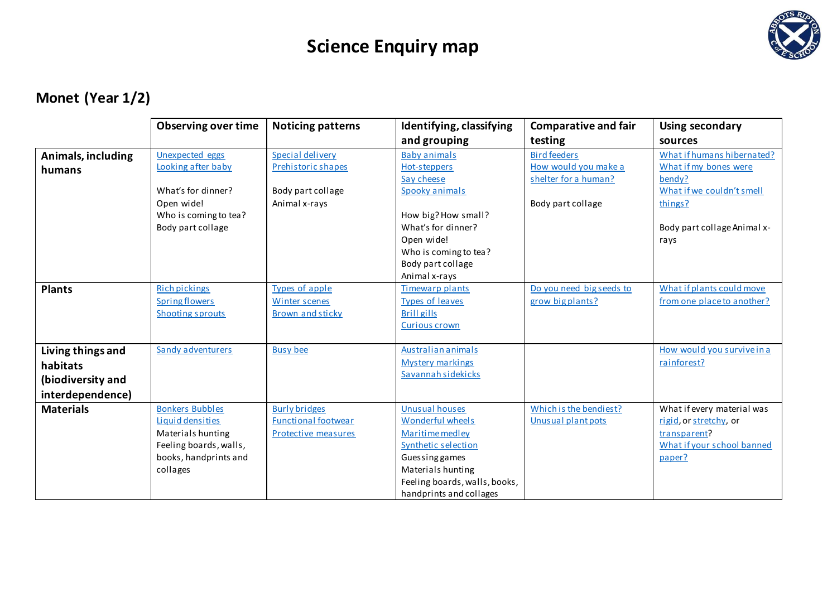

### **Monet (Year 1/2)**

|                                                                        | <b>Observing over time</b>                                                                                                     | <b>Noticing patterns</b>                                                     | Identifying, classifying                                                                                                                                                                      | <b>Comparative and fair</b>                                                              | Using secondary                                                                                                                              |
|------------------------------------------------------------------------|--------------------------------------------------------------------------------------------------------------------------------|------------------------------------------------------------------------------|-----------------------------------------------------------------------------------------------------------------------------------------------------------------------------------------------|------------------------------------------------------------------------------------------|----------------------------------------------------------------------------------------------------------------------------------------------|
|                                                                        |                                                                                                                                |                                                                              | and grouping                                                                                                                                                                                  | testing                                                                                  | sources                                                                                                                                      |
| Animals, including<br>humans                                           | <b>Unexpected eggs</b><br>Looking after baby<br>What's for dinner?<br>Open wide!<br>Who is coming to tea?<br>Body part collage | Special delivery<br>Prehistoric shapes<br>Body part collage<br>Animal x-rays | <b>Baby animals</b><br>Hot-steppers<br>Say cheese<br>Spooky animals<br>How big? How small?<br>What's for dinner?<br>Open wide!<br>Who is coming to tea?<br>Body part collage<br>Animal x-rays | <b>Bird feeders</b><br>How would you make a<br>shelter for a human?<br>Body part collage | What if humans hibernated?<br>What if my bones were<br>bendy?<br>What if we couldn't smell<br>things?<br>Body part collage Animal x-<br>rays |
| <b>Plants</b>                                                          | <b>Rich pickings</b><br><b>Spring flowers</b><br>Shooting sprouts                                                              | Types of apple<br><b>Winter scenes</b><br><b>Brown and sticky</b>            | Timewarp plants<br><b>Types of leaves</b><br><b>Brill gills</b><br><b>Curious crown</b>                                                                                                       | Do you need big seeds to<br>grow big plants?                                             | What if plants could move<br>from one place to another?                                                                                      |
| Living things and<br>habitats<br>(biodiversity and<br>interdependence) | Sandy adventurers                                                                                                              | <b>Busy bee</b>                                                              | Australian animals<br><b>Mystery markings</b><br>Savannah sidekicks                                                                                                                           |                                                                                          | How would you survive in a<br>rainforest?                                                                                                    |
| <b>Materials</b>                                                       | <b>Bonkers Bubbles</b><br>Liquid densities<br>Materials hunting<br>Feeling boards, walls,<br>books, handprints and<br>collages | <b>Burly bridges</b><br><b>Functional footwear</b><br>Protective measures    | <b>Unusual houses</b><br>Wonderful wheels<br>Maritime medley<br>Synthetic selection<br><b>Guessing games</b><br>Materials hunting<br>Feeling boards, walls, books,<br>handprints and collages | Which is the bendiest?<br>Unusual plant pots                                             | What if every material was<br>rigid, or stretchy, or<br>transparent?<br>What if your school banned<br>paper?                                 |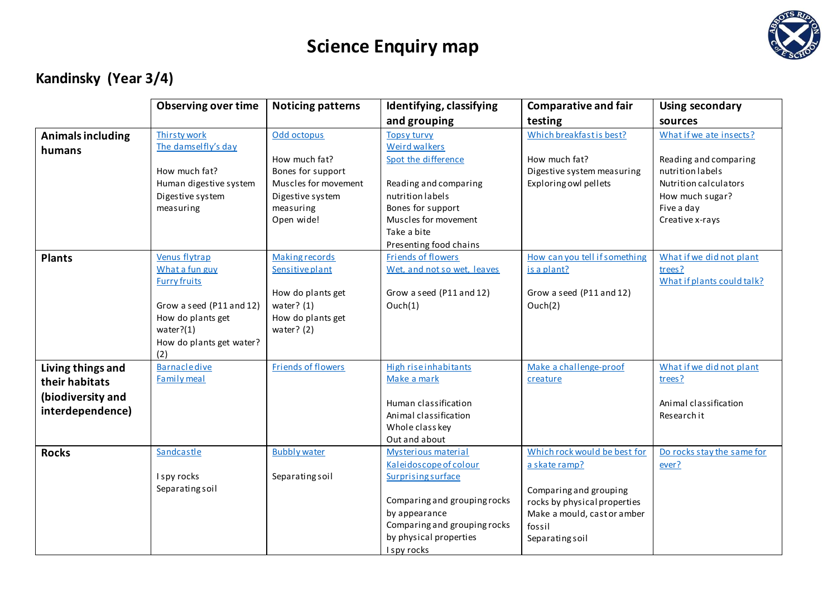

### **Kandinsky (Year 3/4)**

|                                                                              | <b>Observing over time</b>                                                                                                                                 | <b>Noticing patterns</b>                                                                                                  | Identifying, classifying                                                                                                                                                                             | <b>Comparative and fair</b>                                                                                                                                                | <b>Using secondary</b>                                                                                                                            |
|------------------------------------------------------------------------------|------------------------------------------------------------------------------------------------------------------------------------------------------------|---------------------------------------------------------------------------------------------------------------------------|------------------------------------------------------------------------------------------------------------------------------------------------------------------------------------------------------|----------------------------------------------------------------------------------------------------------------------------------------------------------------------------|---------------------------------------------------------------------------------------------------------------------------------------------------|
|                                                                              |                                                                                                                                                            |                                                                                                                           | and grouping                                                                                                                                                                                         | testing                                                                                                                                                                    | sources                                                                                                                                           |
| <b>Animals including</b><br>humans                                           | Thirsty work<br>The damselfly's day<br>How much fat?<br>Human digestive system<br>Digestive system<br>measuring                                            | Odd octopus<br>How much fat?<br>Bones for support<br>Muscles for movement<br>Digestive system<br>measuring<br>Open wide!  | <b>Topsy turvy</b><br><b>Weird walkers</b><br>Spot the difference<br>Reading and comparing<br>nutrition labels<br>Bones for support<br>Muscles for movement<br>Take a bite<br>Presenting food chains | Which breakfast is best?<br>How much fat?<br>Digestive system measuring<br>Exploring owl pellets                                                                           | What if we ate insects?<br>Reading and comparing<br>nutrition labels<br>Nutrition calculators<br>How much sugar?<br>Five a day<br>Creative x-rays |
| <b>Plants</b>                                                                | Venus flytrap<br>What a fun guy<br><b>Furry fruits</b><br>Grow a seed (P11 and 12)<br>How do plants get<br>water? $(1)$<br>How do plants get water?<br>(2) | <b>Making records</b><br><b>Sensitive plant</b><br>How do plants get<br>water? $(1)$<br>How do plants get<br>water? $(2)$ | Friends of flowers<br>Wet, and not so wet, leaves<br>Grow a seed (P11 and 12)<br>Ouch(1)                                                                                                             | How can you tell if something<br>is a plant?<br>Grow a seed (P11 and 12)<br>Ouch(2)                                                                                        | What if we did not plant<br>trees?<br>What if plants could talk?                                                                                  |
| Living things and<br>their habitats<br>(biodiversity and<br>interdependence) | <b>Barnacle dive</b><br>Family meal                                                                                                                        | <b>Friends of flowers</b>                                                                                                 | High rise inhabitants<br>Make a mark<br>Human classification<br>Animal classification<br>Whole class key<br>Out and about                                                                            | Make a challenge-proof<br>creature                                                                                                                                         | What if we did not plant<br>trees?<br>Animal classification<br>Research it                                                                        |
| <b>Rocks</b>                                                                 | Sandcastle<br>I spy rocks<br>Separating soil                                                                                                               | <b>Bubbly water</b><br>Separating soil                                                                                    | Mysterious material<br>Kaleidoscope of colour<br><b>Surprising surface</b><br>Comparing and grouping rocks<br>by appearance<br>Comparing and grouping rocks<br>by physical properties<br>I spy rocks | Which rock would be best for<br>a skate ramp?<br>Comparing and grouping<br>rocks by physical properties<br>Make a mould, cast or amber<br>fossil<br><b>Separating soil</b> | Do rocks stay the same for<br>ever?                                                                                                               |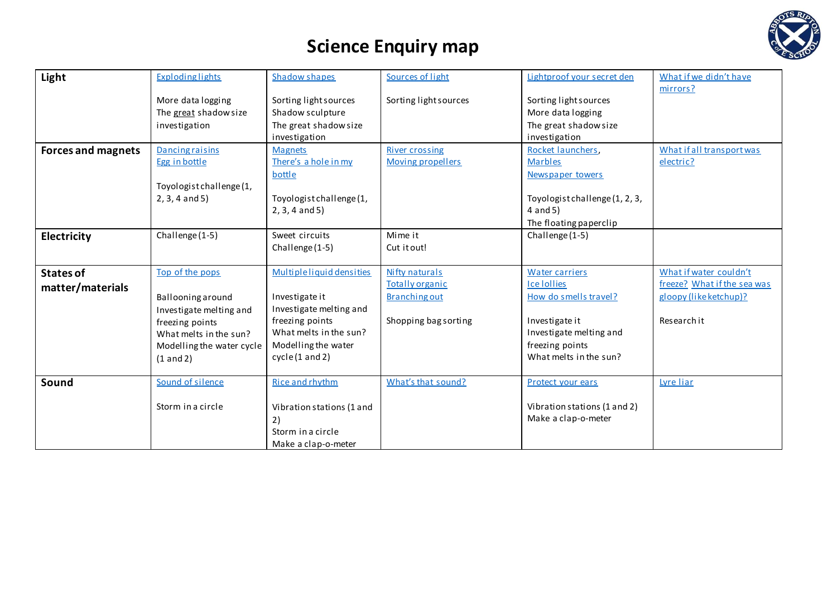

| Light                     | <b>Exploding lights</b>   | Shadow shapes             | Sources of light         | Lightproof your secret den     | What if we didn't have      |
|---------------------------|---------------------------|---------------------------|--------------------------|--------------------------------|-----------------------------|
|                           |                           |                           |                          |                                | mirrors?                    |
|                           | More data logging         | Sorting light sources     | Sorting light sources    | Sorting light sources          |                             |
|                           | The great shadow size     | Shadow sculpture          |                          | More data logging              |                             |
|                           | investigation             | The great shadow size     |                          | The great shadow size          |                             |
|                           |                           | investigation             |                          | investigation                  |                             |
| <b>Forces and magnets</b> | <b>Dancing raisins</b>    | <b>Magnets</b>            | <b>River crossing</b>    | Rocket launchers.              | What if all transport was   |
|                           | Egg in bottle             | There's a hole in my      | <b>Moving propellers</b> | <b>Marbles</b>                 | electric?                   |
|                           |                           | bottle                    |                          | Newspaper towers               |                             |
|                           | Toyologist challenge (1,  |                           |                          |                                |                             |
|                           | $2, 3, 4$ and $5)$        | Toyologist challenge (1,  |                          | Toyologist challenge (1, 2, 3, |                             |
|                           |                           | $2, 3, 4$ and $5)$        |                          | $4$ and $5)$                   |                             |
|                           |                           |                           |                          | The floating paperclip         |                             |
| <b>Electricity</b>        | Challenge (1-5)           | Sweet circuits            | Mime it                  | Challenge (1-5)                |                             |
|                           |                           | Challenge (1-5)           | Cut it out!              |                                |                             |
| <b>States of</b>          | Top of the pops           | Multipleliquid densities  | Nifty naturals           | <b>Water carriers</b>          | What if water couldn't      |
|                           |                           |                           | <b>Totally organic</b>   | <b>Ice Iollies</b>             | freeze? What if the sea was |
| matter/materials          | Ballooning around         | Investigate it            | <b>Branching out</b>     | How do smells travel?          | gloopy (like ketchup)?      |
|                           | Investigate melting and   | Investigate melting and   |                          |                                |                             |
|                           | freezing points           | freezing points           | Shopping bag sorting     | Investigate it                 | Research it                 |
|                           | What melts in the sun?    | What melts in the sun?    |                          | Investigate melting and        |                             |
|                           | Modelling the water cycle | Modelling the water       |                          | freezing points                |                             |
|                           | (1 and 2)                 | cycle(1 and 2)            |                          | What melts in the sun?         |                             |
|                           |                           |                           |                          |                                |                             |
| Sound                     | Sound of silence          | Rice and rhythm           | What's that sound?       | Protect your ears              | Lyre liar                   |
|                           |                           |                           |                          |                                |                             |
|                           | Storm in a circle         | Vibration stations (1 and |                          | Vibration stations (1 and 2)   |                             |
|                           |                           | 2)                        |                          | Make a clap-o-meter            |                             |
|                           |                           | Storm in a circle         |                          |                                |                             |
|                           |                           | Make a clap-o-meter       |                          |                                |                             |